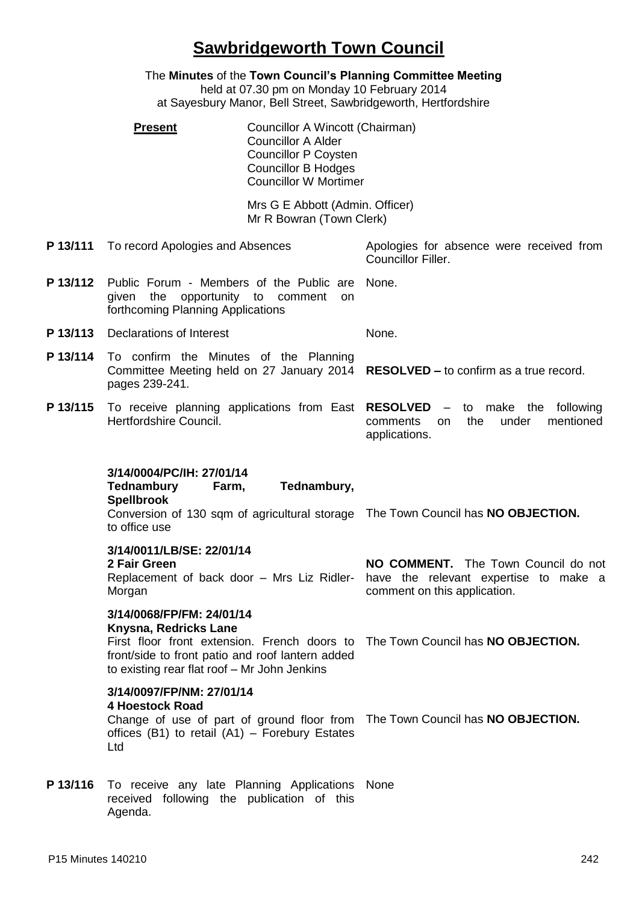## **Sawbridgeworth Town Council**

|          | oawwingeworth Town Oodhon                                                                                                                                                                                                                 |                                                                                                              |
|----------|-------------------------------------------------------------------------------------------------------------------------------------------------------------------------------------------------------------------------------------------|--------------------------------------------------------------------------------------------------------------|
|          | The Minutes of the Town Council's Planning Committee Meeting<br>held at 07.30 pm on Monday 10 February 2014<br>at Sayesbury Manor, Bell Street, Sawbridgeworth, Hertfordshire                                                             |                                                                                                              |
|          | Councillor A Wincott (Chairman)<br><b>Present</b><br><b>Councillor A Alder</b><br><b>Councillor P Coysten</b><br><b>Councillor B Hodges</b><br><b>Councillor W Mortimer</b>                                                               |                                                                                                              |
|          | Mrs G E Abbott (Admin. Officer)<br>Mr R Bowran (Town Clerk)                                                                                                                                                                               |                                                                                                              |
| P 13/111 | To record Apologies and Absences                                                                                                                                                                                                          | Apologies for absence were received from<br>Councillor Filler.                                               |
| P 13/112 | Public Forum - Members of the Public are<br>opportunity to comment<br>given the<br><b>on</b><br>forthcoming Planning Applications                                                                                                         | None.                                                                                                        |
| P 13/113 | Declarations of Interest                                                                                                                                                                                                                  | None.                                                                                                        |
| P 13/114 | To confirm the Minutes of the Planning<br>Committee Meeting held on 27 January 2014 RESOLVED - to confirm as a true record.<br>pages 239-241.                                                                                             |                                                                                                              |
| P 13/115 | To receive planning applications from East RESOLVED - to make the<br>Hertfordshire Council.                                                                                                                                               | following<br>mentioned<br>the<br>under<br>comments<br>on.<br>applications.                                   |
|          | 3/14/0004/PC/IH: 27/01/14<br><b>Tednambury</b><br>Tednambury,<br>Farm,<br><b>Spellbrook</b><br>Conversion of 130 sqm of agricultural storage The Town Council has NO OBJECTION.<br>to office use                                          |                                                                                                              |
|          | 3/14/0011/LB/SE: 22/01/14<br>2 Fair Green<br>Replacement of back door - Mrs Liz Ridler-<br>Morgan                                                                                                                                         | NO COMMENT. The Town Council do not<br>have the relevant expertise to make a<br>comment on this application. |
|          | 3/14/0068/FP/FM: 24/01/14<br>Knysna, Redricks Lane<br>First floor front extension. French doors to The Town Council has NO OBJECTION.<br>front/side to front patio and roof lantern added<br>to existing rear flat roof - Mr John Jenkins |                                                                                                              |
|          | 3/14/0097/FP/NM: 27/01/14<br><b>4 Hoestock Road</b><br>Change of use of part of ground floor from The Town Council has NO OBJECTION.<br>offices (B1) to retail $(A1)$ – Forebury Estates<br>Ltd                                           |                                                                                                              |
| P 13/116 | To receive any late Planning Applications None<br>received following the publication of this                                                                                                                                              |                                                                                                              |

Agenda.